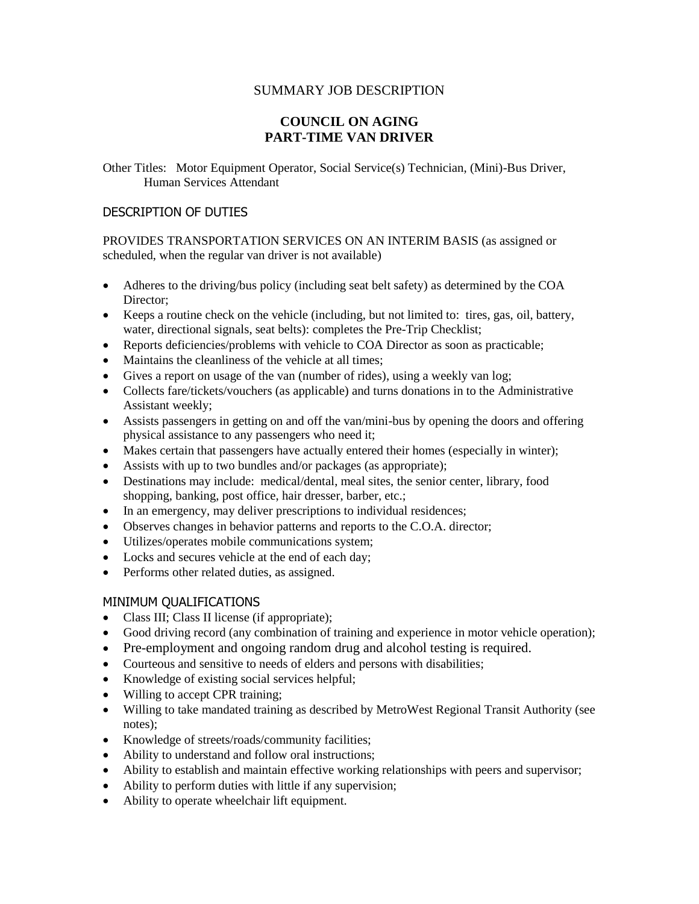## SUMMARY JOB DESCRIPTION

## **COUNCIL ON AGING PART-TIME VAN DRIVER**

Other Titles: Motor Equipment Operator, Social Service(s) Technician, (Mini)-Bus Driver, Human Services Attendant

## DESCRIPTION OF DUTIES

PROVIDES TRANSPORTATION SERVICES ON AN INTERIM BASIS (as assigned or scheduled, when the regular van driver is not available)

- Adheres to the driving/bus policy (including seat belt safety) as determined by the COA Director;
- Keeps a routine check on the vehicle (including, but not limited to: tires, gas, oil, battery, water, directional signals, seat belts): completes the Pre-Trip Checklist;
- Reports deficiencies/problems with vehicle to COA Director as soon as practicable;
- Maintains the cleanliness of the vehicle at all times;
- Gives a report on usage of the van (number of rides), using a weekly van log;
- Collects fare/tickets/vouchers (as applicable) and turns donations in to the Administrative Assistant weekly;
- Assists passengers in getting on and off the van/mini-bus by opening the doors and offering physical assistance to any passengers who need it;
- Makes certain that passengers have actually entered their homes (especially in winter);
- Assists with up to two bundles and/or packages (as appropriate);
- Destinations may include: medical/dental, meal sites, the senior center, library, food shopping, banking, post office, hair dresser, barber, etc.;
- In an emergency, may deliver prescriptions to individual residences;
- Observes changes in behavior patterns and reports to the C.O.A. director;
- Utilizes/operates mobile communications system;
- Locks and secures vehicle at the end of each day;
- Performs other related duties, as assigned.

## MINIMUM QUALIFICATIONS

- Class III; Class II license (if appropriate);
- Good driving record (any combination of training and experience in motor vehicle operation);
- Pre-employment and ongoing random drug and alcohol testing is required.
- Courteous and sensitive to needs of elders and persons with disabilities;
- Knowledge of existing social services helpful;
- Willing to accept CPR training;
- Willing to take mandated training as described by MetroWest Regional Transit Authority (see notes);
- Knowledge of streets/roads/community facilities;
- Ability to understand and follow oral instructions;
- Ability to establish and maintain effective working relationships with peers and supervisor;
- Ability to perform duties with little if any supervision;
- Ability to operate wheelchair lift equipment.